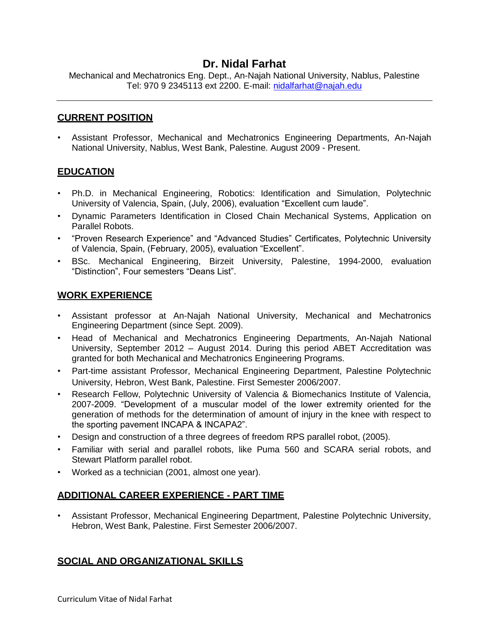# **Dr. Nidal Farhat**

Mechanical and Mechatronics Eng. Dept., An-Najah National University, Nablus, Palestine Tel: 970 9 2345113 ext 2200. E-mail: [nidalfarhat@najah.edu](mailto:nidalfarhat@najah.edu)

#### **CURRENT POSITION**

• Assistant Professor, Mechanical and Mechatronics Engineering Departments, An-Najah National University, Nablus, West Bank, Palestine. August 2009 - Present.

## **EDUCATION**

- Ph.D. in Mechanical Engineering, Robotics: Identification and Simulation, Polytechnic University of Valencia, Spain, (July, 2006), evaluation "Excellent cum laude".
- Dynamic Parameters Identification in Closed Chain Mechanical Systems, Application on Parallel Robots.
- "Proven Research Experience" and "Advanced Studies" Certificates, Polytechnic University of Valencia, Spain, (February, 2005), evaluation "Excellent".
- BSc. Mechanical Engineering, Birzeit University, Palestine, 1994-2000, evaluation "Distinction", Four semesters "Deans List".

#### **WORK EXPERIENCE**

- Assistant professor at An-Najah National University, Mechanical and Mechatronics Engineering Department (since Sept. 2009).
- Head of Mechanical and Mechatronics Engineering Departments, An-Najah National University, September 2012 – August 2014. During this period ABET Accreditation was granted for both Mechanical and Mechatronics Engineering Programs.
- Part-time assistant Professor, Mechanical Engineering Department, Palestine Polytechnic University, Hebron, West Bank, Palestine. First Semester 2006/2007.
- Research Fellow, Polytechnic University of Valencia & Biomechanics Institute of Valencia, 2007-2009. "Development of a muscular model of the lower extremity oriented for the generation of methods for the determination of amount of injury in the knee with respect to the sporting pavement INCAPA & INCAPA2".
- Design and construction of a three degrees of freedom RPS parallel robot, (2005).
- Familiar with serial and parallel robots, like Puma 560 and SCARA serial robots, and Stewart Platform parallel robot.
- Worked as a technician (2001, almost one year).

## **ADDITIONAL CAREER EXPERIENCE - PART TIME**

• Assistant Professor, Mechanical Engineering Department, Palestine Polytechnic University, Hebron, West Bank, Palestine. First Semester 2006/2007.

## **SOCIAL AND ORGANIZATIONAL SKILLS**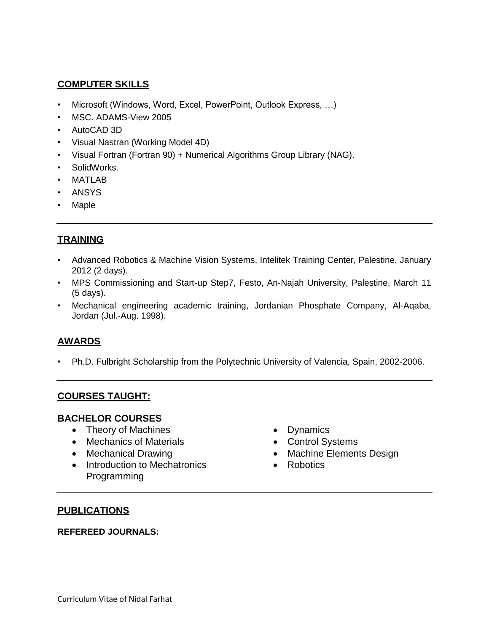## **COMPUTER SKILLS**

- Microsoft (Windows, Word, Excel, PowerPoint, Outlook Express, …)
- MSC. ADAMS-View 2005
- AutoCAD 3D
- Visual Nastran (Working Model 4D)
- Visual Fortran (Fortran 90) + Numerical Algorithms Group Library (NAG).
- SolidWorks.
- MATI AR
- ANSYS
- **Maple**

# **TRAINING**

- Advanced Robotics & Machine Vision Systems, Intelitek Training Center, Palestine, January 2012 (2 days).
- MPS Commissioning and Start-up Step7, Festo, An-Najah University, Palestine, March 11 (5 days).
- Mechanical engineering academic training, Jordanian Phosphate Company, Al-Aqaba, Jordan (Jul.-Aug. 1998).

## **AWARDS**

• Ph.D. Fulbright Scholarship from the Polytechnic University of Valencia, Spain, 2002-2006.

## **COURSES TAUGHT:**

## **BACHELOR COURSES**

- Theory of Machines
- Mechanics of Materials
- Mechanical Drawing
- Introduction to Mechatronics Programming
- Dynamics
- Control Systems
- Machine Elements Design
- Robotics

#### **PUBLICATIONS**

#### **REFEREED JOURNALS:**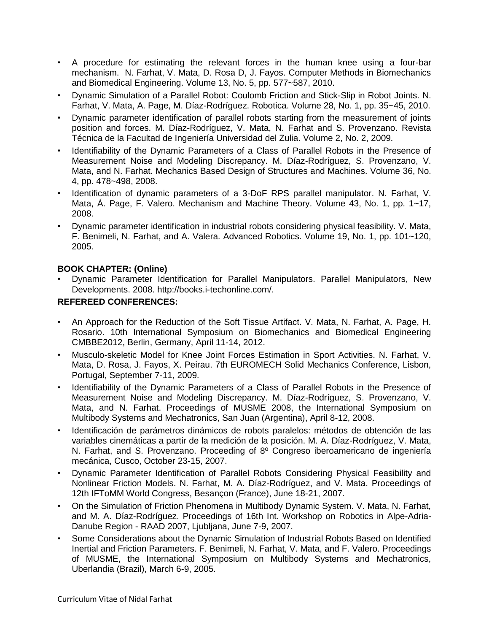- A procedure for estimating the relevant forces in the human knee using a four-bar mechanism. N. Farhat, V. Mata, D. Rosa D, J. Fayos. Computer Methods in Biomechanics and Biomedical Engineering. Volume 13, No. 5, pp. 577~587, 2010.
- Dynamic Simulation of a Parallel Robot: Coulomb Friction and Stick-Slip in Robot Joints. N. Farhat, V. Mata, A. Page, M. Díaz-Rodríguez. Robotica. Volume 28, No. 1, pp. 35~45, 2010.
- Dynamic parameter identification of parallel robots starting from the measurement of joints position and forces. M. Díaz-Rodríguez, V. Mata, N. Farhat and S. Provenzano. Revista Técnica de la Facultad de Ingeniería Universidad del Zulia. Volume 2, No. 2, 2009.
- Identifiability of the Dynamic Parameters of a Class of Parallel Robots in the Presence of Measurement Noise and Modeling Discrepancy. M. Díaz-Rodríguez, S. Provenzano, V. Mata, and N. Farhat. Mechanics Based Design of Structures and Machines. Volume 36, No. 4, pp. 478~498, 2008.
- Identification of dynamic parameters of a 3-DoF RPS parallel manipulator. N. Farhat, V. Mata, Á. Page, F. Valero. Mechanism and Machine Theory. Volume 43, No. 1, pp. 1~17, 2008.
- Dynamic parameter identification in industrial robots considering physical feasibility. V. Mata, F. Benimeli, N. Farhat, and A. Valera. Advanced Robotics. Volume 19, No. 1, pp. 101~120, 2005.

#### **BOOK CHAPTER: (Online)**

• Dynamic Parameter Identification for Parallel Manipulators. Parallel Manipulators, New Developments. 2008. http://books.i-techonline.com/.

#### **REFEREED CONFERENCES:**

- An Approach for the Reduction of the Soft Tissue Artifact. V. Mata, N. Farhat, A. Page, H. Rosario. 10th International Symposium on Biomechanics and Biomedical Engineering CMBBE2012, Berlin, Germany, April 11-14, 2012.
- Musculo-skeletic Model for Knee Joint Forces Estimation in Sport Activities. N. Farhat, V. Mata, D. Rosa, J. Fayos, X. Peirau. 7th EUROMECH Solid Mechanics Conference, Lisbon, Portugal, September 7-11, 2009.
- Identifiability of the Dynamic Parameters of a Class of Parallel Robots in the Presence of Measurement Noise and Modeling Discrepancy. M. Díaz-Rodríguez, S. Provenzano, V. Mata, and N. Farhat. Proceedings of MUSME 2008, the International Symposium on Multibody Systems and Mechatronics, San Juan (Argentina), April 8-12, 2008.
- Identificación de parámetros dinámicos de robots paralelos: métodos de obtención de las variables cinemáticas a partir de la medición de la posición. M. A. Díaz-Rodríguez, V. Mata, N. Farhat, and S. Provenzano. Proceeding of 8º Congreso iberoamericano de ingeniería mecánica, Cusco, October 23-15, 2007.
- Dynamic Parameter Identification of Parallel Robots Considering Physical Feasibility and Nonlinear Friction Models. N. Farhat, M. A. Díaz-Rodríguez, and V. Mata. Proceedings of 12th IFToMM World Congress, Besançon (France), June 18-21, 2007.
- On the Simulation of Friction Phenomena in Multibody Dynamic System. V. Mata, N. Farhat, and M. A. Díaz-Rodríguez. Proceedings of 16th Int. Workshop on Robotics in Alpe-Adria-Danube Region - RAAD 2007, Ljubljana, June 7-9, 2007.
- Some Considerations about the Dynamic Simulation of Industrial Robots Based on Identified Inertial and Friction Parameters. F. Benimeli, N. Farhat, V. Mata, and F. Valero. Proceedings of MUSME, the International Symposium on Multibody Systems and Mechatronics, Uberlandia (Brazil), March 6-9, 2005.